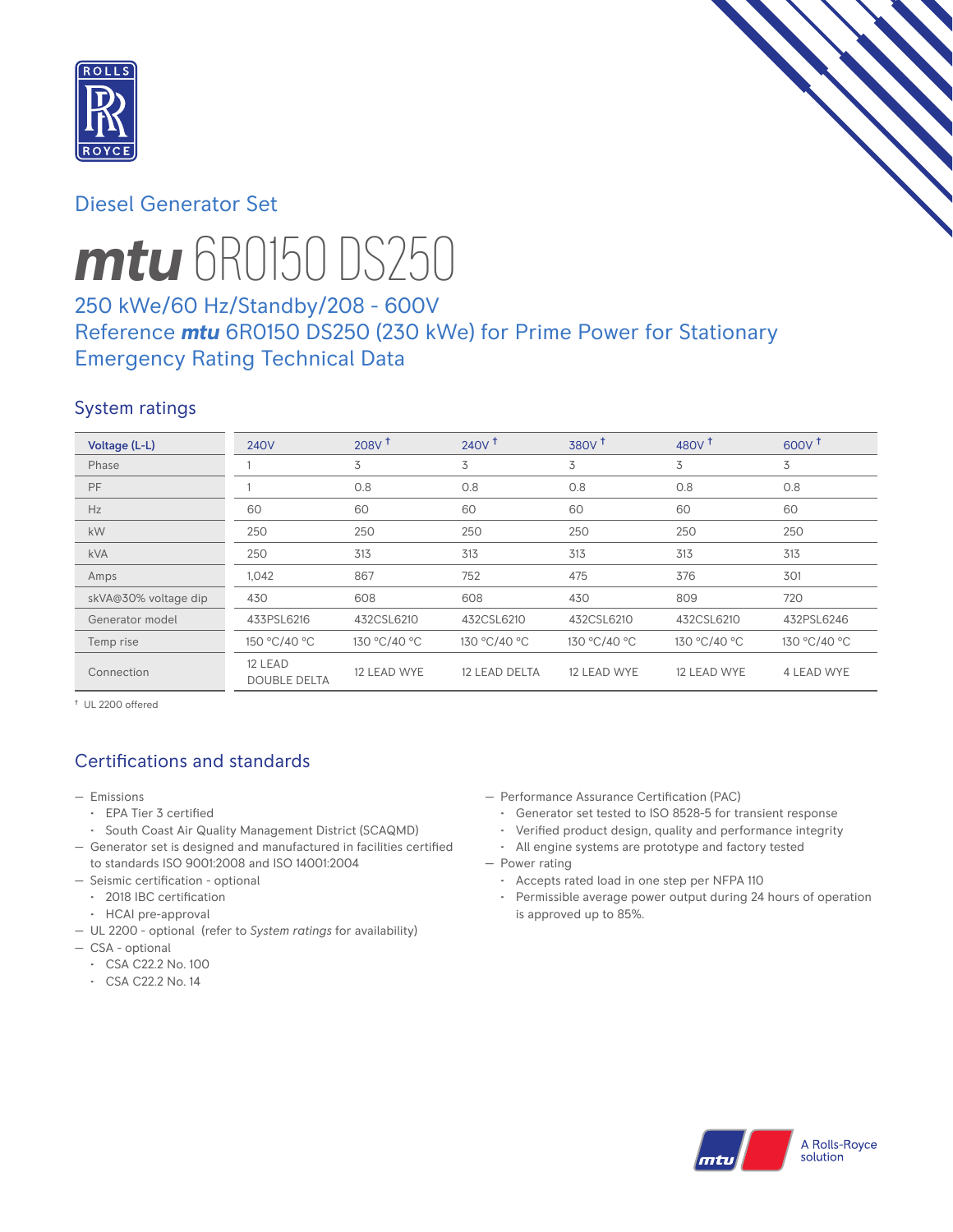

# Diesel Generator Set



# *mtu* 6R0150 DS250

# 250 kWe/60 Hz/Standby/208 - 600V Reference *mtu* 6R0150 DS250 (230 kWe) for Prime Power for Stationary Emergency Rating Technical Data

# System ratings

| Voltage (L-L)        | <b>240V</b>                    | 208V <sup>†</sup> | $240V$ <sup>+</sup> | 380V <sup>†</sup> | 480V <sup>+</sup> | 600V <sup>†</sup> |
|----------------------|--------------------------------|-------------------|---------------------|-------------------|-------------------|-------------------|
| Phase                |                                | 3                 | 3                   | 3                 | 3                 | 3                 |
| PF                   |                                | 0.8               | 0.8                 | 0.8               | 0.8               | 0.8               |
| Hz                   | 60                             | 60                | 60                  | 60                | 60                | 60                |
| kW                   | 250                            | 250               | 250                 | 250               | 250               | 250               |
| <b>kVA</b>           | 250                            | 313               | 313                 | 313               | 313               | 313               |
| Amps                 | 1,042                          | 867               | 752                 | 475               | 376               | 301               |
| skVA@30% voltage dip | 430                            | 608               | 608                 | 430               | 809               | 720               |
| Generator model      | 433PSL6216                     | 432CSL6210        | 432CSL6210          | 432CSL6210        | 432CSL6210        | 432PSL6246        |
| Temp rise            | 150 °C/40 °C                   | 130 °C/40 °C      | 130 °C/40 °C        | 130 °C/40 °C      | 130 °C/40 °C      | 130 °C/40 °C      |
| Connection           | 12 LEAD<br><b>DOUBLE DELTA</b> | 12 LEAD WYE       | 12 LEAD DELTA       | 12 LEAD WYE       | 12 LEAD WYE       | 4 LEAD WYE        |

† UL 2200 offered

# Certifications and standards

- Emissions
	- EPA Tier 3 certified
	- South Coast Air Quality Management District (SCAQMD)
- Generator set is designed and manufactured in facilities certified to standards ISO 9001:2008 and ISO 14001:2004
- Seismic certification optional
	- 2018 IBC certification
	- HCAI pre-approval
- UL 2200 optional (refer to *System ratings* for availability)
- CSA optional
	- CSA C22.2 No. 100
	- CSA C22.2 No. 14
- Performance Assurance Certification (PAC)
	- Generator set tested to ISO 8528-5 for transient response
	- Verified product design, quality and performance integrity
- All engine systems are prototype and factory tested — Power rating
	- Accepts rated load in one step per NFPA 110
	- Permissible average power output during 24 hours of operation is approved up to 85%.

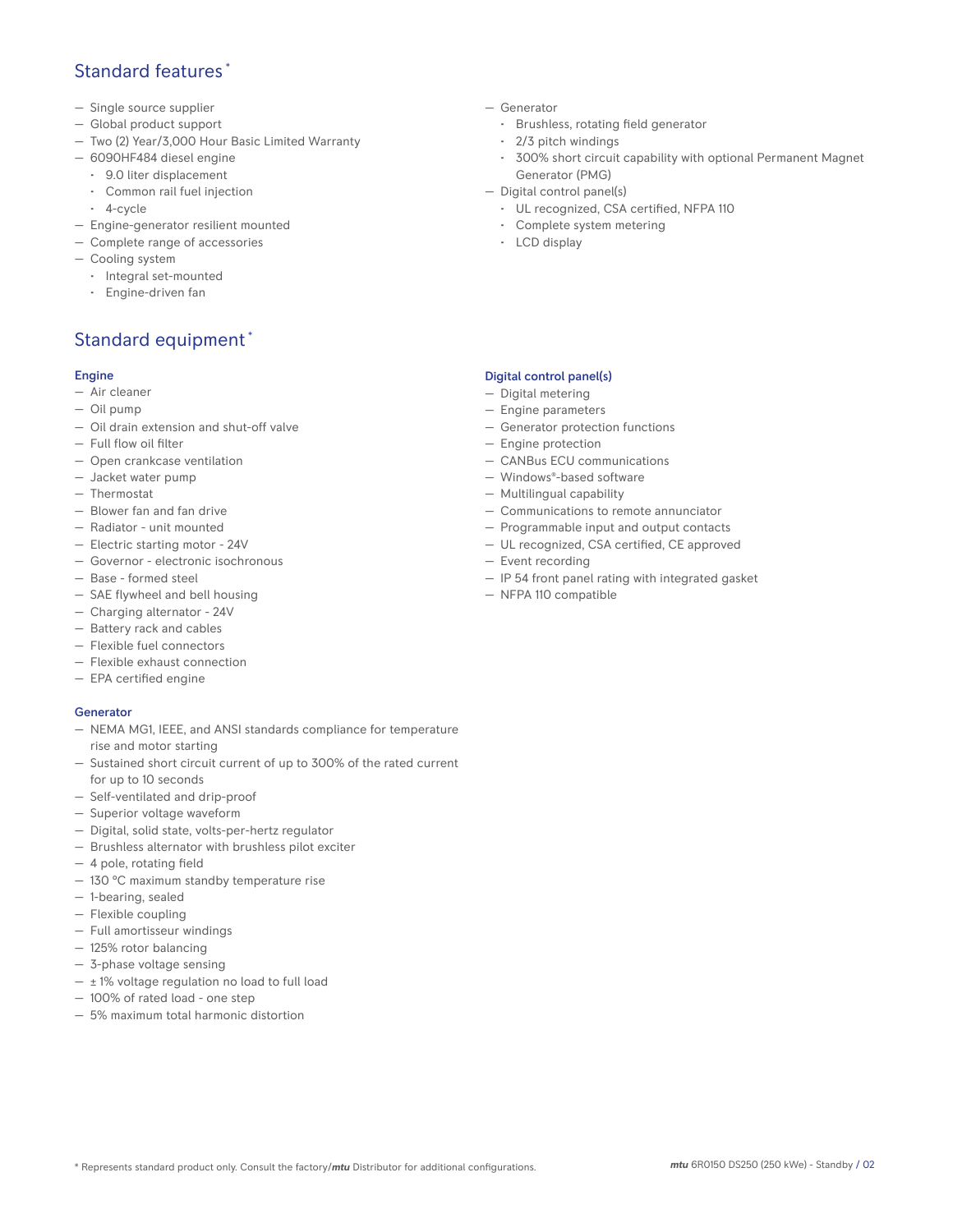# Standard features \*

- Single source supplier
- Global product support
- Two (2) Year/3,000 Hour Basic Limited Warranty
- 6090HF484 diesel engine
	- 9.0 liter displacement
	- Common rail fuel injection
	- 4-cycle
- Engine-generator resilient mounted
- Complete range of accessories
- Cooling system
- Integral set-mounted
	- Engine-driven fan

# Standard equipment \*

## Engine

- Air cleaner
- Oil pump
- Oil drain extension and shut-off valve
- Full flow oil filter
- Open crankcase ventilation
- Jacket water pump
- Thermostat
- Blower fan and fan drive
- Radiator unit mounted
- Electric starting motor 24V
- Governor electronic isochronous
- Base formed steel
- SAE flywheel and bell housing
- Charging alternator 24V
- Battery rack and cables
- Flexible fuel connectors
- Flexible exhaust connection
- EPA certified engine

## **Generator**

- NEMA MG1, IEEE, and ANSI standards compliance for temperature rise and motor starting
- Sustained short circuit current of up to 300% of the rated current for up to 10 seconds
- Self-ventilated and drip-proof
- Superior voltage waveform
- Digital, solid state, volts-per-hertz regulator
- Brushless alternator with brushless pilot exciter
- 4 pole, rotating field
- 130 °C maximum standby temperature rise
- 1-bearing, sealed
- Flexible coupling
- Full amortisseur windings
- 125% rotor balancing
- 3-phase voltage sensing
- $\pm$  1% voltage regulation no load to full load
- 100% of rated load one step
- 5% maximum total harmonic distortion
- Generator
	- Brushless, rotating field generator
	- 2/3 pitch windings
	- 300% short circuit capability with optional Permanent Magnet Generator (PMG)
- Digital control panel(s)
	- UL recognized, CSA certified, NFPA 110
	- Complete system metering
	- LCD display

## Digital control panel(s)

- Digital metering
- Engine parameters
- Generator protection functions
- Engine protection
- CANBus ECU communications
- Windows®-based software
- Multilingual capability
- Communications to remote annunciator
- Programmable input and output contacts
- UL recognized, CSA certified, CE approved
- Event recording
- IP 54 front panel rating with integrated gasket
- NFPA 110 compatible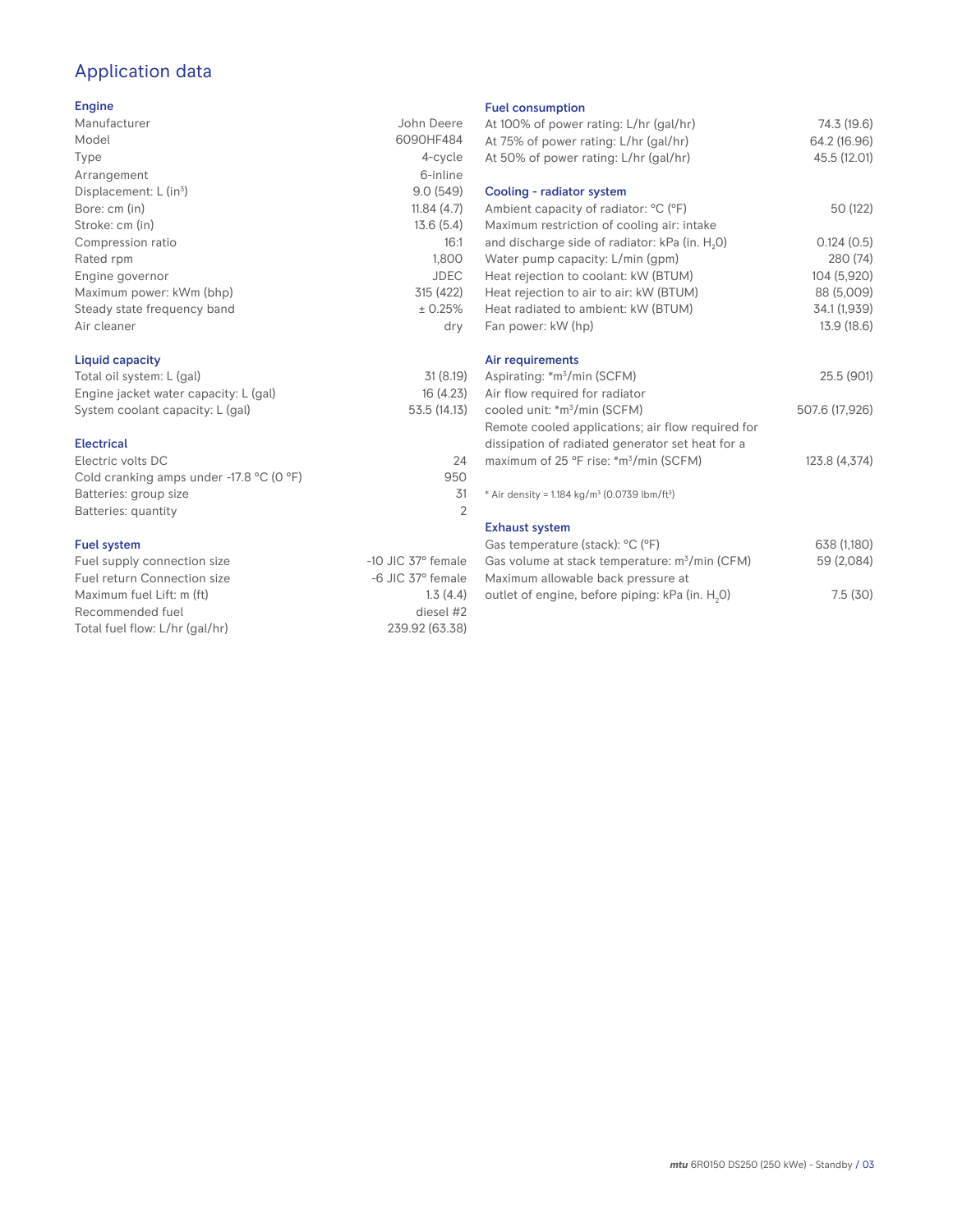# Application data

## Engine

| Manufacturer                | John Deere  |
|-----------------------------|-------------|
| Model                       | 6090HF484   |
| Type                        | 4-cycle     |
| Arrangement                 | 6-inline    |
| Displacement: $L (in3)$     | 9.0(549)    |
| Bore: cm (in)               | 11.84(4.7)  |
| Stroke: cm (in)             | 13.6(5.4)   |
| Compression ratio           | 16:1        |
| Rated rpm                   | 1,800       |
| Engine governor             | <b>JDEC</b> |
| Maximum power: kWm (bhp)    | 315 (422)   |
| Steady state frequency band | ± 0.25%     |
| Air cleaner                 | dry         |
|                             |             |

## Liquid capacity

| Total oil system: L (gal)             | 31(8.19)     |
|---------------------------------------|--------------|
| Engine jacket water capacity: L (gal) | 16(4.23)     |
| System coolant capacity: L (gal)      | 53.5 (14.13) |

#### Electrical

| Electric volts DC                                            | 24  |
|--------------------------------------------------------------|-----|
| Cold cranking amps under -17.8 $^{\circ}$ C (O $^{\circ}$ F) | 950 |
| Batteries: group size                                        | .31 |
| Batteries: quantity                                          |     |
|                                                              |     |

## Fuel system

| $-10$ JIC 37 $\degree$ female |
|-------------------------------|
| $-6$ JIC 37 $^{\circ}$ female |
| 1.3(4.4)                      |
| diesel #2                     |
| 239.92 (63.38)                |
|                               |

#### Fuel consumption

| At 100% of power rating: L/hr (gal/hr)<br>At 75% of power rating: L/hr (gal/hr)<br>At 50% of power rating: L/hr (gal/hr) | 74.3 (19.6)<br>64.2 (16.96)<br>45.5 (12.01) |
|--------------------------------------------------------------------------------------------------------------------------|---------------------------------------------|
| Cooling - radiator system                                                                                                |                                             |
| Ambient capacity of radiator: °C (°F)                                                                                    | 50 (122)                                    |
| Maximum restriction of cooling air: intake                                                                               |                                             |
| and discharge side of radiator: kPa (in. H <sub>2</sub> O)                                                               | 0.124(0.5)                                  |
| Water pump capacity: L/min (gpm)                                                                                         | 280 (74)                                    |
| Heat rejection to coolant: kW (BTUM)                                                                                     | 104 (5,920)                                 |
| Heat rejection to air to air: kW (BTUM)                                                                                  | 88 (5,009)                                  |
| Heat radiated to ambient: kW (BTUM)                                                                                      | 34.1 (1,939)                                |
| Fan power: kW (hp)                                                                                                       | 13.9 (18.6)                                 |
| Air requirements                                                                                                         |                                             |
| Aspirating: *m <sup>3</sup> /min (SCFM)                                                                                  | 25.5 (901)                                  |
| Air flow required for radiator                                                                                           |                                             |
| cooled unit: *m <sup>3</sup> /min (SCFM)                                                                                 | 507.6 (17,926)                              |
| Remote cooled applications; air flow required for                                                                        |                                             |
| dissipation of radiated generator set heat for a                                                                         |                                             |
| maximum of 25 °F rise: *m <sup>3</sup> /min (SCFM)                                                                       | 123.8 (4,374)                               |
| * Air density = 1.184 kg/m <sup>3</sup> (0.0739 lbm/ft <sup>3</sup> )                                                    |                                             |
| <b>Exhaust system</b>                                                                                                    |                                             |
| Gas temperature (stack): °C (°F)                                                                                         | 638 (1,180)                                 |
| Gas volume at stack temperature: m <sup>3</sup> /min (CFM)                                                               | 59 (2,084)                                  |
| Maximum allowable back pressure at                                                                                       |                                             |
| outlet of engine, before piping: kPa (in. H <sub>2</sub> 0)                                                              | 7.5(30)                                     |
|                                                                                                                          |                                             |